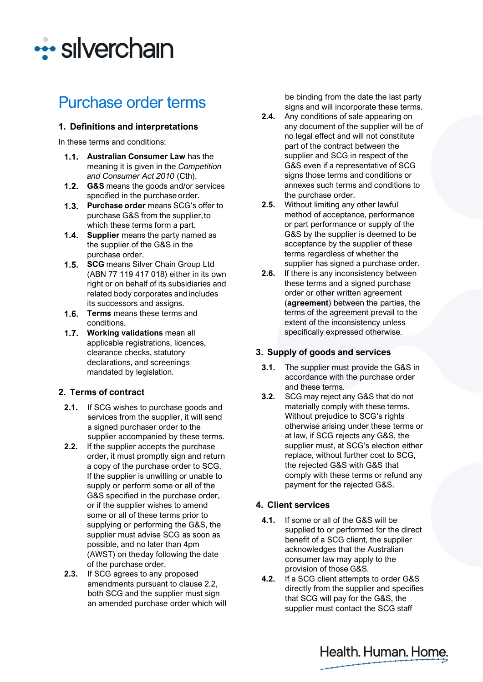

# Purchase order terms

#### **1. Definitions and interpretations**

In these terms and conditions:

- **Australian Consumer Law** has the meaning it is given in the *Competition and Consumer Act 2010* (Cth).
- **G&S** means the goods and/or services specified in the purchase order.
- **Purchase order** means SCG's offer to purchase G&S from the supplier,to which these terms form a part.
- **1.4.** Supplier means the party named as the supplier of the G&S in the purchase order.
- 1.5. SCG means Silver Chain Group Ltd (ABN 77 119 417 018) either in its own right or on behalf of its subsidiaries and related body corporates andincludes its successors and assigns.
- **Terms** means these terms and conditions.
- **Working validations** mean all applicable registrations, licences, clearance checks, statutory declarations, and screenings mandated by legislation.

## **2. Terms of contract**

- **2.1.** If SCG wishes to purchase goods and services from the supplier, it will send a signed purchaser order to the supplier accompanied by these terms.
- **2.2.** If the supplier accepts the purchase order, it must promptly sign and return a copy of the purchase order to SCG. If the supplier is unwilling or unable to supply or perform some or all of the G&S specified in the purchase order, or if the supplier wishes to amend some or all of these terms prior to supplying or performing the G&S, the supplier must advise SCG as soon as possible, and no later than 4pm (AWST) on theday following the date of the purchase order.
- **2.3.** If SCG agrees to any proposed amendments pursuant to clause 2.2, both SCG and the supplier must sign an amended purchase order which will

be binding from the date the last party signs and will incorporate these terms.

- **2.4.** Any conditions of sale appearing on any document of the supplier will be of no legal effect and will not constitute part of the contract between the supplier and SCG in respect of the G&S even if a representative of SCG signs those terms and conditions or annexes such terms and conditions to the purchase order.
- **2.5.** Without limiting any other lawful method of acceptance, performance or part performance or supply of the G&S by the supplier is deemed to be acceptance by the supplier of these terms regardless of whether the supplier has signed a purchase order.
- **2.6.** If there is any inconsistency between these terms and a signed purchase order or other written agreement (**agreement**) between the parties, the terms of the agreement prevail to the extent of the inconsistency unless specifically expressed otherwise.

## **3. Supply of goods and services**

- **3.1.** The supplier must provide the G&S in accordance with the purchase order and these terms.
- **3.2.** SCG may reject any G&S that do not materially comply with these terms. Without prejudice to SCG's rights otherwise arising under these terms or at law, if SCG rejects any G&S, the supplier must, at SCG's election either replace, without further cost to SCG, the rejected G&S with G&S that comply with these terms or refund any payment for the rejected G&S.

## **4. Client services**

- **4.1.** If some or all of the G&S will be supplied to or performed for the direct benefit of a SCG client, the supplier acknowledges that the Australian consumer law may apply to the provision of those G&S.
- **4.2.** If a SCG client attempts to order G&S directly from the supplier and specifies that SCG will pay for the G&S, the supplier must contact the SCG staff

Health. Human. Home.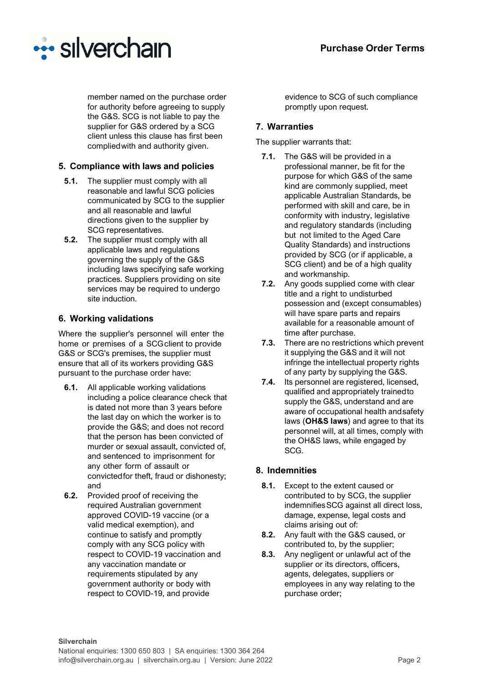

member named on the purchase order for authority before agreeing to supply the G&S. SCG is not liable to pay the supplier for G&S ordered by a SCG client unless this clause has first been compliedwith and authority given.

## **5. Compliance with laws and policies**

- **5.1.** The supplier must comply with all reasonable and lawful SCG policies communicated by SCG to the supplier and all reasonable and lawful directions given to the supplier by SCG representatives.
- **5.2.** The supplier must comply with all applicable laws and regulations governing the supply of the G&S including laws specifying safe working practices. Suppliers providing on site services may be required to undergo site induction.

## **6. Working validations**

Where the supplier's personnel will enter the home or premises of a SCG client to provide G&S or SCG's premises, the supplier must ensure that all of its workers providing G&S pursuant to the purchase order have:

- **6.1.** All applicable working validations including a police clearance check that is dated not more than 3 years before the last day on which the worker is to provide the G&S; and does not record that the person has been convicted of murder or sexual assault, convicted of, and sentenced to imprisonment for any other form of assault or convictedfor theft, fraud or dishonesty; and
- **6.2.** Provided proof of receiving the required Australian government approved COVID-19 vaccine (or a valid medical exemption), and continue to satisfy and promptly comply with any SCG policy with respect to COVID-19 vaccination and any vaccination mandate or requirements stipulated by any government authority or body with respect to COVID-19, and provide

evidence to SCG of such compliance promptly upon request.

## **7. Warranties**

The supplier warrants that:

- **7.1.** The G&S will be provided in a professional manner, be fit for the purpose for which G&S of the same kind are commonly supplied, meet applicable Australian Standards, be performed with skill and care, be in conformity with industry, legislative and regulatory standards (including but not limited to the Aged Care Quality Standards) and instructions provided by SCG (or if applicable, a SCG client) and be of a high quality and workmanship.
- **7.2.** Any goods supplied come with clear title and a right to undisturbed possession and (except consumables) will have spare parts and repairs available for a reasonable amount of time after purchase.
- **7.3.** There are no restrictions which prevent it supplying the G&S and it will not infringe the intellectual property rights of any party by supplying the G&S.
- **7.4.** Its personnel are registered, licensed, qualified and appropriately trainedto supply the G&S, understand and are aware of occupational health andsafety laws (**OH&S laws**) and agree to that its personnel will, at all times, comply with the OH&S laws, while engaged by SCG.

## **8. Indemnities**

- **8.1.** Except to the extent caused or contributed to by SCG, the supplier indemnifiesSCG against all direct loss, damage, expense, legal costs and claims arising out of:
- **8.2.** Any fault with the G&S caused, or contributed to, by the supplier;
- **8.3.** Any negligent or unlawful act of the supplier or its directors, officers, agents, delegates, suppliers or employees in any way relating to the purchase order;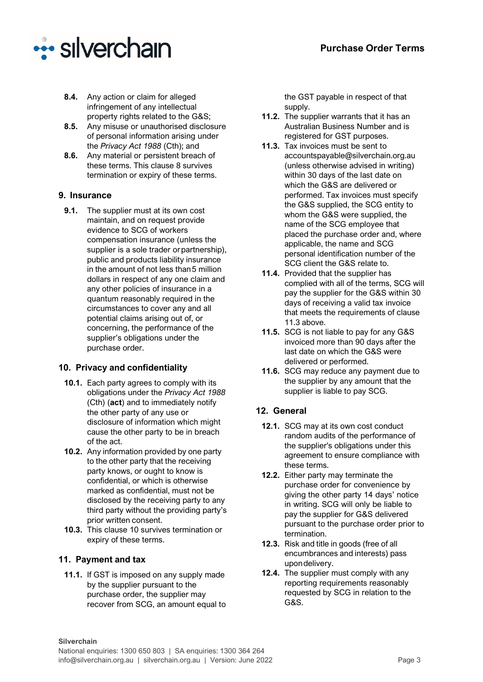

- **8.4.** Any action or claim for alleged infringement of any intellectual property rights related to the G&S;
- **8.5.** Any misuse or unauthorised disclosure of personal information arising under the *Privacy Act 1988* (Cth); and
- **8.6.** Any material or persistent breach of these terms. This clause 8 survives termination or expiry of these terms.

## **9. Insurance**

**9.1.** The supplier must at its own cost maintain, and on request provide evidence to SCG of workers compensation insurance (unless the supplier is a sole trader or partnership), public and products liability insurance in the amount of not less than5 million dollars in respect of any one claim and any other policies of insurance in a quantum reasonably required in the circumstances to cover any and all potential claims arising out of, or concerning, the performance of the supplier's obligations under the purchase order.

## **10. Privacy and confidentiality**

- **10.1.** Each party agrees to comply with its obligations under the *Privacy Act 1988*  (Cth) (**act**) and to immediately notify the other party of any use or disclosure of information which might cause the other party to be in breach of the act.
- **10.2.** Any information provided by one party to the other party that the receiving party knows, or ought to know is confidential, or which is otherwise marked as confidential, must not be disclosed by the receiving party to any third party without the providing party's prior written consent.
- **10.3.** This clause 10 survives termination or expiry of these terms.

## **11. Payment and tax**

**11.1.** If GST is imposed on any supply made by the supplier pursuant to the purchase order, the supplier may recover from SCG, an amount equal to the GST payable in respect of that supply.

- **11.2.** The supplier warrants that it has an Australian Business Number and is registered for GST purposes.
- **11.3.** Tax invoices must be sent to [accountspayable@silverchain.org.au](mailto:accountspayable@silverchain.org.au) (unless otherwise advised in writing) within 30 days of the last date on which the G&S are delivered or performed. Tax invoices must specify the G&S supplied, the SCG entity to whom the G&S were supplied, the name of the SCG employee that placed the purchase order and, where applicable, the name and SCG personal identification number of the SCG client the G&S relate to.
- **11.4.** Provided that the supplier has complied with all of the terms, SCG will pay the supplier for the G&S within 30 days of receiving a valid tax invoice that meets the requirements of clause 11.3 above.
- **11.5.** SCG is not liable to pay for any G&S invoiced more than 90 days after the last date on which the G&S were delivered or performed.
- **11.6.** SCG may reduce any payment due to the supplier by any amount that the supplier is liable to pay SCG.

## **12. General**

- **12.1.** SCG may at its own cost conduct random audits of the performance of the supplier's obligations under this agreement to ensure compliance with these terms.
- **12.2.** Either party may terminate the purchase order for convenience by giving the other party 14 days' notice in writing. SCG will only be liable to pay the supplier for G&S delivered pursuant to the purchase order prior to termination.
- **12.3.** Risk and title in goods (free of all encumbrances and interests) pass upondelivery.
- **12.4.** The supplier must comply with any reporting requirements reasonably requested by SCG in relation to the G&S.